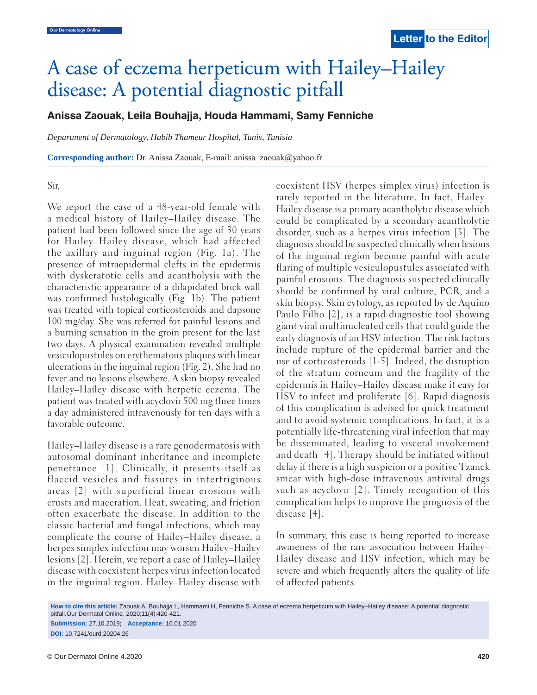# A case of eczema herpeticum with Hailey–Hailey disease: A potential diagnostic pitfall

## **Anissa Zaouak, Leila Bouhajja, Houda Hammami, Samy Fenniche**

*Department of Dermatology, Habib Thameur Hospital, Tunis, Tunisia*

**Corresponding author:** Dr. Anissa Zaouak, E-mail: anissa\_zaouak@yahoo.fr

Sir,

We report the case of a 48-year-old female with a medical history of Hailey–Hailey disease. The patient had been followed since the age of 30 years for Hailey–Hailey disease, which had affected the axillary and inguinal region (Fig. 1a). The presence of intraepidermal clefts in the epidermis with dyskeratotic cells and acantholysis with the characteristic appearance of a dilapidated brick wall was confirmed histologically (Fig. 1b). The patient was treated with topical corticosteroids and dapsone 100 mg/day. She was referred for painful lesions and a burning sensation in the groin present for the last two days. A physical examination revealed multiple vesiculopustules on erythematous plaques with linear ulcerations in the inguinal region (Fig. 2). She had no fever and no lesions elsewhere. A skin biopsy revealed Hailey–Hailey disease with herpetic eczema. The patient was treated with acyclovir 500 mg three times a day administered intravenously for ten days with a favorable outcome.

Hailey–Hailey disease is a rare genodermatosis with autosomal dominant inheritance and incomplete penetrance [1]. Clinically, it presents itself as flaccid vesicles and fissures in intertriginous areas [2] with superficial linear erosions with crusts and maceration. Heat, sweating, and friction often exacerbate the disease. In addition to the classic bacterial and fungal infections, which may complicate the course of Hailey–Hailey disease, a herpes simplex infection may worsen Hailey–Hailey lesions [2]. Herein, we report a case of Hailey–Hailey disease with coexistent herpes virus infection located in the inguinal region. Hailey–Hailey disease with coexistent HSV (herpes simplex virus) infection is rarely reported in the literature. In fact, Hailey– Hailey disease is a primary acantholytic disease which could be complicated by a secondary acantholytic disorder, such as a herpes virus infection [3]. The diagnosis should be suspected clinically when lesions of the inguinal region become painful with acute flaring of multiple vesiculopustules associated with painful erosions. The diagnosis suspected clinically should be confirmed by viral culture, PCR, and a skin biopsy. Skin cytology, as reported by de Aquino Paulo Filho [2], is a rapid diagnostic tool showing giant viral multinucleated cells that could guide the early diagnosis of an HSV infection. The risk factors include rupture of the epidermal barrier and the use of corticosteroids [1-5]. Indeed, the disruption of the stratum corneum and the fragility of the epidermis in Hailey–Hailey disease make it easy for HSV to infect and proliferate [6]. Rapid diagnosis of this complication is advised for quick treatment and to avoid systemic complications. In fact, it is a potentially life-threatening viral infection that may be disseminated, leading to visceral involvement and death [4]. Therapy should be initiated without delay if there is a high suspicion or a positive Tzanck smear with high-dose intravenous antiviral drugs such as acyclovir [2]. Timely recognition of this complication helps to improve the prognosis of the disease [4].

In summary, this case is being reported to increase awareness of the rare association between Hailey– Hailey disease and HSV infection, which may be severe and which frequently alters the quality of life of affected patients.

**How to cite this article:** Zaouak A, Bouhajja L, Hammami H, Fenniche S. A case of eczema herpeticum with Hailey–Hailey disease: A potential diagnostic pitfall.Our Dermatol Online. 2020;11(4):420-421. **Submission:** 27.10.2019; **Acceptance:** 10.01.2020

**DOI:** 10.7241/ourd.20204.26